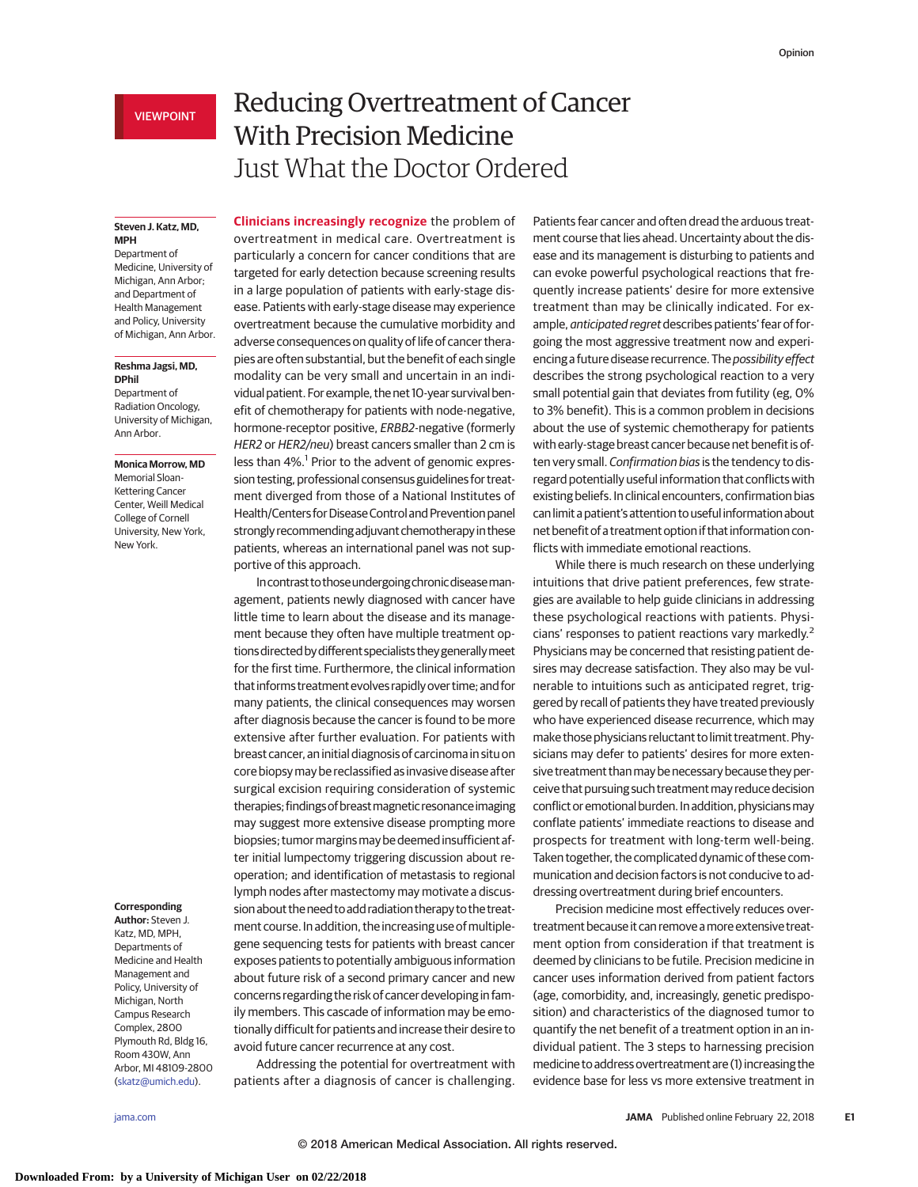## **Steven J. Katz, MD, MPH**

Department of Medicine, University of Michigan, Ann Arbor; and Department of Health Management and Policy, University of Michigan, Ann Arbor.

#### **Reshma Jagsi, MD, DPhil**

Department of Radiation Oncology, University of Michigan, Ann Arbor.

## **Monica Morrow, MD**

Memorial Sloan-Kettering Cancer Center, Weill Medical College of Cornell University, New York, New York.

## **Corresponding**

**Author:** Steven J. Katz, MD, MPH, Departments of Medicine and Health Management and Policy, University of Michigan, North Campus Research Complex, 2800 Plymouth Rd, Bldg 16, Room 430W, Ann Arbor, MI 48109-2800 [\(skatz@umich.edu\)](mailto:skatz@umich.edu).

# Reducing Overtreatment of Cancer With Precision Medicine Just What the Doctor Ordered

**Clinicians increasingly recognize** the problem of overtreatment in medical care. Overtreatment is particularly a concern for cancer conditions that are targeted for early detection because screening results in a large population of patients with early-stage disease. Patients with early-stage disease may experience overtreatment because the cumulative morbidity and adverse consequences on quality of life of cancer therapies are often substantial, but the benefit of each single modality can be very small and uncertain in an individual patient. Forexample, the net 10-year survival benefit of chemotherapy for patients with node-negative, hormone-receptor positive, ERBB2-negative (formerly HER2 or HER2/neu) breast cancers smaller than 2 cm is less than 4%.<sup>1</sup> Prior to the advent of genomic expression testing, professional consensus guidelines for treatment diverged from those of a National Institutes of Health/Centers for Disease Control and Prevention panel strongly recommendingadjuvant chemotherapy in these patients, whereas an international panel was not supportive of this approach.

Incontrast to thoseundergoingchronicdiseasemanagement, patients newly diagnosed with cancer have little time to learn about the disease and its management because they often have multiple treatment options directed by different specialists they generally meet for the first time. Furthermore, the clinical information that informs treatment evolves rapidly over time; and for many patients, the clinical consequences may worsen after diagnosis because the cancer is found to be more extensive after further evaluation. For patients with breast cancer, an initial diagnosis of carcinoma in situ on core biopsymay be reclassified as invasive disease after surgical excision requiring consideration of systemic therapies; findingsofbreastmagnetic resonanceimaging may suggest more extensive disease prompting more biopsies; tumor margins may be deemed insufficient after initial lumpectomy triggering discussion about reoperation; and identification of metastasis to regional lymph nodes after mastectomy may motivate a discussion about the need to add radiation therapy to the treatment course.In addition, the increasing use ofmultiplegene sequencing tests for patients with breast cancer exposes patients to potentially ambiguous information about future risk of a second primary cancer and new concerns regarding the risk of cancer developing in family members. This cascade of information may be emotionally difficult for patients and increase their desire to avoid future cancer recurrence at any cost.

Addressing the potential for overtreatment with patients after a diagnosis of cancer is challenging.

Patients fear cancer and often dread the arduous treatment course that lies ahead. Uncertainty about the disease and its management is disturbing to patients and can evoke powerful psychological reactions that frequently increase patients' desire for more extensive treatment than may be clinically indicated. For example, anticipated regret describes patients' fear of forgoing the most aggressive treatment now and experiencing a future disease recurrence. The possibility effect describes the strong psychological reaction to a very small potential gain that deviates from futility (eg, 0% to 3% benefit). This is a common problem in decisions about the use of systemic chemotherapy for patients with early-stage breast cancer because net benefit is often very small. Confirmation bias is the tendency to disregard potentially useful information that conflicts with existing beliefs. In clinical encounters, confirmation bias can limit a patient's attention to useful information about net benefit of a treatment option if that information conflicts with immediate emotional reactions.

While there is much research on these underlying intuitions that drive patient preferences, few strategies are available to help guide clinicians in addressing these psychological reactions with patients. Physicians' responses to patient reactions vary markedly.<sup>2</sup> Physicians may be concerned that resisting patient desires may decrease satisfaction. They also may be vulnerable to intuitions such as anticipated regret, triggered by recall of patients they have treated previously who have experienced disease recurrence, which may make those physicians reluctant to limit treatment. Physicians may defer to patients' desires for more extensive treatment thanmay be necessary because they perceive that pursuing such treatment may reduce decision conflict or emotional burden. In addition, physicians may conflate patients' immediate reactions to disease and prospects for treatment with long-term well-being. Taken together, the complicated dynamic of these communication and decision factors is not conducive to addressing overtreatment during brief encounters.

Precision medicine most effectively reduces overtreatment because it can remove amoreextensive treatment option from consideration if that treatment is deemed by clinicians to be futile. Precision medicine in cancer uses information derived from patient factors (age, comorbidity, and, increasingly, genetic predisposition) and characteristics of the diagnosed tumor to quantify the net benefit of a treatment option in an individual patient. The 3 steps to harnessing precision medicine to address overtreatment are (1) increasing the evidence base for less vs more extensive treatment in